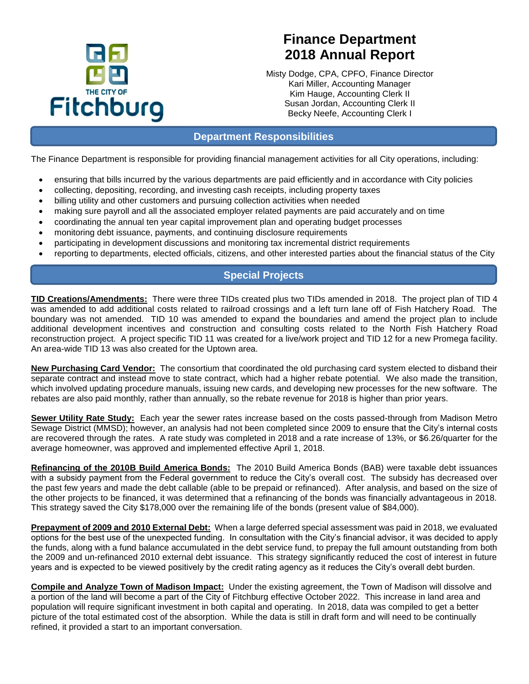

# **Finance Department 2018 Annual Report**

Misty Dodge, CPA, CPFO, Finance Director Kari Miller, Accounting Manager Kim Hauge, Accounting Clerk II Susan Jordan, Accounting Clerk II Becky Neefe, Accounting Clerk I

### **Department Responsibilities**

The Finance Department is responsible for providing financial management activities for all City operations, including:

- ensuring that bills incurred by the various departments are paid efficiently and in accordance with City policies
- collecting, depositing, recording, and investing cash receipts, including property taxes
- billing utility and other customers and pursuing collection activities when needed
- making sure payroll and all the associated employer related payments are paid accurately and on time
- coordinating the annual ten year capital improvement plan and operating budget processes
- monitoring debt issuance, payments, and continuing disclosure requirements
- participating in development discussions and monitoring tax incremental district requirements
- reporting to departments, elected officials, citizens, and other interested parties about the financial status of the City

### **Special Projects**

**TID Creations/Amendments:** There were three TIDs created plus two TIDs amended in 2018. The project plan of TID 4 was amended to add additional costs related to railroad crossings and a left turn lane off of Fish Hatchery Road. The boundary was not amended. TID 10 was amended to expand the boundaries and amend the project plan to include additional development incentives and construction and consulting costs related to the North Fish Hatchery Road reconstruction project. A project specific TID 11 was created for a live/work project and TID 12 for a new Promega facility. An area-wide TID 13 was also created for the Uptown area.

**New Purchasing Card Vendor:** The consortium that coordinated the old purchasing card system elected to disband their separate contract and instead move to state contract, which had a higher rebate potential. We also made the transition, which involved updating procedure manuals, issuing new cards, and developing new processes for the new software. The rebates are also paid monthly, rather than annually, so the rebate revenue for 2018 is higher than prior years.

**Sewer Utility Rate Study:** Each year the sewer rates increase based on the costs passed-through from Madison Metro Sewage District (MMSD); however, an analysis had not been completed since 2009 to ensure that the City's internal costs are recovered through the rates. A rate study was completed in 2018 and a rate increase of 13%, or \$6.26/quarter for the average homeowner, was approved and implemented effective April 1, 2018.

**Refinancing of the 2010B Build America Bonds:** The 2010 Build America Bonds (BAB) were taxable debt issuances with a subsidy payment from the Federal government to reduce the City's overall cost. The subsidy has decreased over the past few years and made the debt callable (able to be prepaid or refinanced). After analysis, and based on the size of the other projects to be financed, it was determined that a refinancing of the bonds was financially advantageous in 2018. This strategy saved the City \$178,000 over the remaining life of the bonds (present value of \$84,000).

**Prepayment of 2009 and 2010 External Debt:** When a large deferred special assessment was paid in 2018, we evaluated options for the best use of the unexpected funding. In consultation with the City's financial advisor, it was decided to apply the funds, along with a fund balance accumulated in the debt service fund, to prepay the full amount outstanding from both the 2009 and un-refinanced 2010 external debt issuance. This strategy significantly reduced the cost of interest in future years and is expected to be viewed positively by the credit rating agency as it reduces the City's overall debt burden.

**Compile and Analyze Town of Madison Impact:** Under the existing agreement, the Town of Madison will dissolve and a portion of the land will become a part of the City of Fitchburg effective October 2022. This increase in land area and population will require significant investment in both capital and operating. In 2018, data was compiled to get a better picture of the total estimated cost of the absorption. While the data is still in draft form and will need to be continually refined, it provided a start to an important conversation.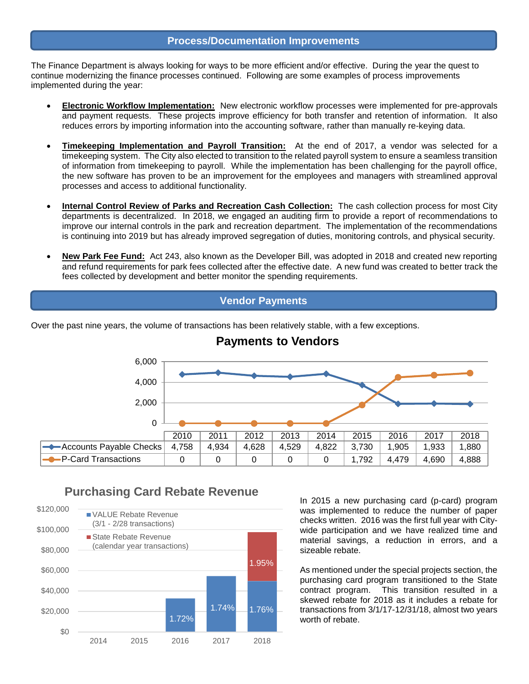#### **Process/Documentation Improvements**

The Finance Department is always looking for ways to be more efficient and/or effective. During the year the quest to continue modernizing the finance processes continued. Following are some examples of process improvements implemented during the year:

- **Electronic Workflow Implementation:** New electronic workflow processes were implemented for pre-approvals and payment requests. These projects improve efficiency for both transfer and retention of information. It also reduces errors by importing information into the accounting software, rather than manually re-keying data.
- **Timekeeping Implementation and Payroll Transition:** At the end of 2017, a vendor was selected for a timekeeping system. The City also elected to transition to the related payroll system to ensure a seamless transition of information from timekeeping to payroll. While the implementation has been challenging for the payroll office, the new software has proven to be an improvement for the employees and managers with streamlined approval processes and access to additional functionality.
- **Internal Control Review of Parks and Recreation Cash Collection:** The cash collection process for most City departments is decentralized. In 2018, we engaged an auditing firm to provide a report of recommendations to improve our internal controls in the park and recreation department. The implementation of the recommendations is continuing into 2019 but has already improved segregation of duties, monitoring controls, and physical security.
- **New Park Fee Fund:** Act 243, also known as the Developer Bill, was adopted in 2018 and created new reporting and refund requirements for park fees collected after the effective date. A new fund was created to better track the fees collected by development and better monitor the spending requirements.

### **Vendor Payments**

Over the past nine years, the volume of transactions has been relatively stable, with a few exceptions.



### **Payments to Vendors**

### **Purchasing Card Rebate Revenue**



In 2015 a new purchasing card (p-card) program was implemented to reduce the number of paper checks written. 2016 was the first full year with Citywide participation and we have realized time and material savings, a reduction in errors, and a sizeable rebate.

As mentioned under the special projects section, the purchasing card program transitioned to the State contract program. This transition resulted in a skewed rebate for 2018 as it includes a rebate for transactions from 3/1/17-12/31/18, almost two years worth of rebate.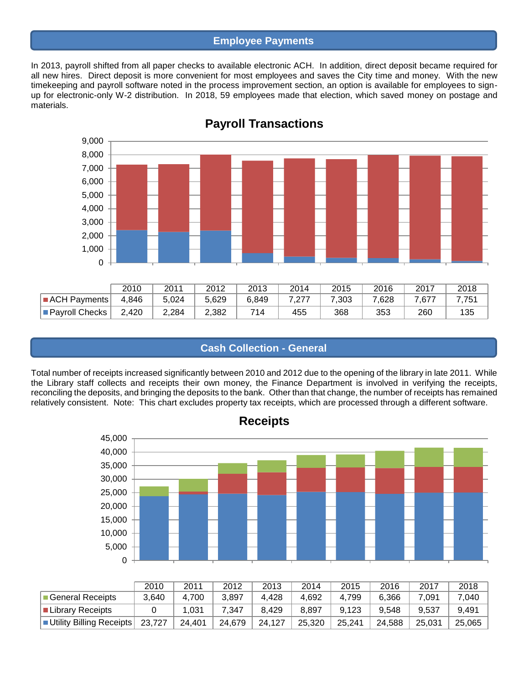### **Employee Payments**

In 2013, payroll shifted from all paper checks to available electronic ACH. In addition, direct deposit became required for all new hires. Direct deposit is more convenient for most employees and saves the City time and money. With the new timekeeping and payroll software noted in the process improvement section, an option is available for employees to signup for electronic-only W-2 distribution. In 2018, 59 employees made that election, which saved money on postage and materials.



### **Payroll Transactions**

### **Cash Collection - General**

Total number of receipts increased significantly between 2010 and 2012 due to the opening of the library in late 2011. While the Library staff collects and receipts their own money, the Finance Department is involved in verifying the receipts, reconciling the deposits, and bringing the deposits to the bank. Other than that change, the number of receipts has remained relatively consistent. Note: This chart excludes property tax receipts, which are processed through a different software.



|                            | 2010   | 2011   | 2012   | 2013   | 2014   | 2015   | 2016   | 2017   | 2018   |
|----------------------------|--------|--------|--------|--------|--------|--------|--------|--------|--------|
| General Receipts           | 3.640  | 4.700  | 3.897  | 4.428  | 4.692  | 4.799  | 6.366  | 7.091  | 7,040  |
| ■ Library Receipts         |        | 1.031  | 7.347  | 8.429  | 8.897  | 9.123  | 9.548  | 9.537  | 9,491  |
| ■ Utility Billing Receipts | 23,727 | 24.401 | 24,679 | 24,127 | 25.320 | 25,241 | 24.588 | 25.031 | 25,065 |

**Receipts**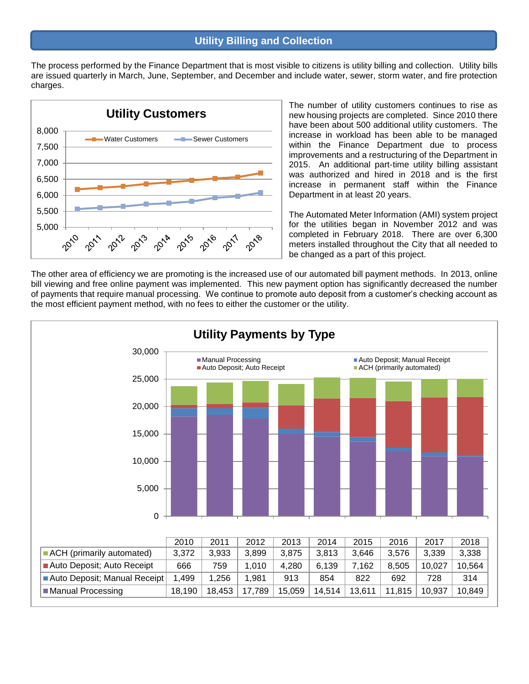The process performed by the Finance Department that is most visible to citizens is utility billing and collection. Utility bills are issued quarterly in March, June, September, and December and include water, sewer, storm water, and fire protection charges.



The number of utility customers continues to rise as new housing projects are completed. Since 2010 there have been about 500 additional utility customers. The increase in workload has been able to be managed within the Finance Department due to process improvements and a restructuring of the Department in 2015. An additional part-time utility billing assistant was authorized and hired in 2018 and is the first increase in permanent staff within the Finance Department in at least 20 years.

The Automated Meter Information (AMI) system project for the utilities began in November 2012 and was completed in February 2018. There are over 6,300 meters installed throughout the City that all needed to be changed as a part of this project.

The other area of efficiency we are promoting is the increased use of our automated bill payment methods. In 2013, online bill viewing and free online payment was implemented. This new payment option has significantly decreased the number of payments that require manual processing. We continue to promote auto deposit from a customer's checking account as the most efficient payment method, with no fees to either the customer or the utility.

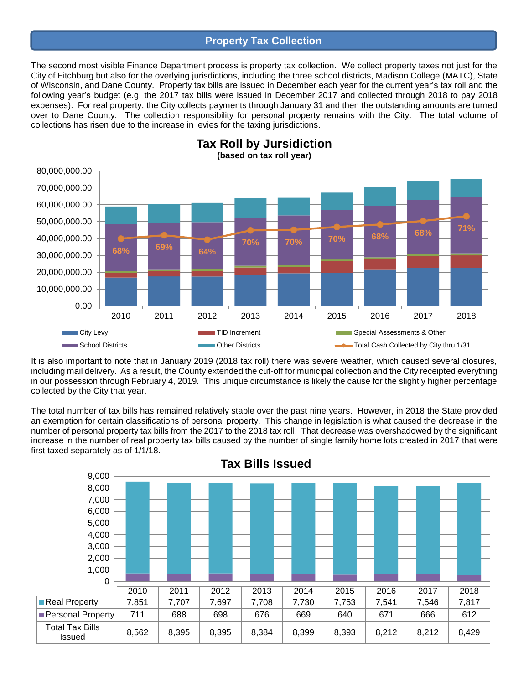#### **Property Tax Collection**

The second most visible Finance Department process is property tax collection. We collect property taxes not just for the City of Fitchburg but also for the overlying jurisdictions, including the three school districts, Madison College (MATC), State of Wisconsin, and Dane County. Property tax bills are issued in December each year for the current year's tax roll and the following year's budget (e.g. the 2017 tax bills were issued in December 2017 and collected through 2018 to pay 2018 expenses). For real property, the City collects payments through January 31 and then the outstanding amounts are turned over to Dane County. The collection responsibility for personal property remains with the City. The total volume of collections has risen due to the increase in levies for the taxing jurisdictions.



**Tax Roll by Jursidiction (based on tax roll year)**

It is also important to note that in January 2019 (2018 tax roll) there was severe weather, which caused several closures, including mail delivery. As a result, the County extended the cut-off for municipal collection and the City receipted everything in our possession through February 4, 2019. This unique circumstance is likely the cause for the slightly higher percentage collected by the City that year.

The total number of tax bills has remained relatively stable over the past nine years. However, in 2018 the State provided an exemption for certain classifications of personal property. This change in legislation is what caused the decrease in the number of personal property tax bills from the 2017 to the 2018 tax roll. That decrease was overshadowed by the significant increase in the number of real property tax bills caused by the number of single family home lots created in 2017 that were first taxed separately as of 1/1/18.

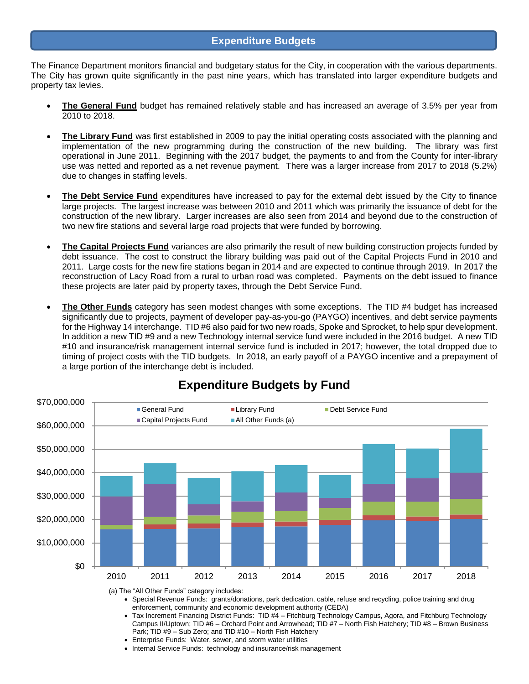#### **Expenditure Budgets**

The Finance Department monitors financial and budgetary status for the City, in cooperation with the various departments. The City has grown quite significantly in the past nine years, which has translated into larger expenditure budgets and property tax levies.

- **The General Fund** budget has remained relatively stable and has increased an average of 3.5% per year from 2010 to 2018.
- **The Library Fund** was first established in 2009 to pay the initial operating costs associated with the planning and implementation of the new programming during the construction of the new building. The library was first operational in June 2011. Beginning with the 2017 budget, the payments to and from the County for inter-library use was netted and reported as a net revenue payment. There was a larger increase from 2017 to 2018 (5.2%) due to changes in staffing levels.
- **The Debt Service Fund** expenditures have increased to pay for the external debt issued by the City to finance large projects. The largest increase was between 2010 and 2011 which was primarily the issuance of debt for the construction of the new library. Larger increases are also seen from 2014 and beyond due to the construction of two new fire stations and several large road projects that were funded by borrowing.
- **The Capital Projects Fund** variances are also primarily the result of new building construction projects funded by debt issuance. The cost to construct the library building was paid out of the Capital Projects Fund in 2010 and 2011. Large costs for the new fire stations began in 2014 and are expected to continue through 2019. In 2017 the reconstruction of Lacy Road from a rural to urban road was completed. Payments on the debt issued to finance these projects are later paid by property taxes, through the Debt Service Fund.
- **The Other Funds** category has seen modest changes with some exceptions. The TID #4 budget has increased significantly due to projects, payment of developer pay-as-you-go (PAYGO) incentives, and debt service payments for the Highway 14 interchange. TID #6 also paid for two new roads, Spoke and Sprocket, to help spur development. In addition a new TID #9 and a new Technology internal service fund were included in the 2016 budget. A new TID #10 and insurance/risk management internal service fund is included in 2017; however, the total dropped due to timing of project costs with the TID budgets. In 2018, an early payoff of a PAYGO incentive and a prepayment of a large portion of the interchange debt is included.



## **Expenditure Budgets by Fund**

- (a) The "All Other Funds" category includes:
	- Special Revenue Funds: grants/donations, park dedication, cable, refuse and recycling, police training and drug enforcement, community and economic development authority (CEDA)
	- Tax Increment Financing District Funds: TID #4 Fitchburg Technology Campus, Agora, and Fitchburg Technology Campus II/Uptown; TID #6 – Orchard Point and Arrowhead; TID #7 – North Fish Hatchery; TID #8 – Brown Business Park; TID #9 – Sub Zero; and TID #10 – North Fish Hatchery
	- Enterprise Funds: Water, sewer, and storm water utilities
	- Internal Service Funds: technology and insurance/risk management